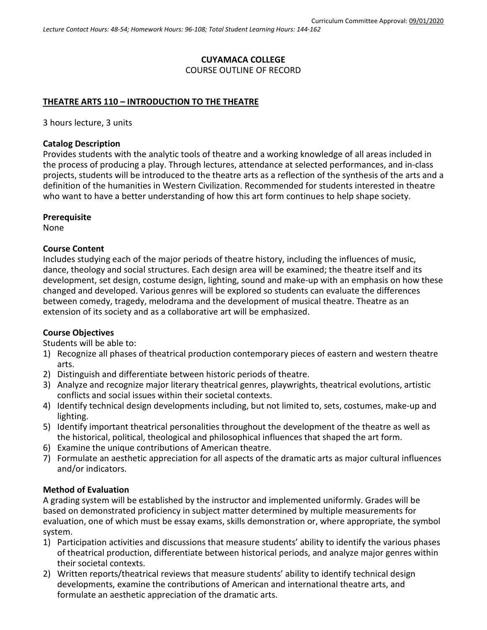# **CUYAMACA COLLEGE** COURSE OUTLINE OF RECORD

## **THEATRE ARTS 110 – INTRODUCTION TO THE THEATRE**

3 hours lecture, 3 units

#### **Catalog Description**

Provides students with the analytic tools of theatre and a working knowledge of all areas included in the process of producing a play. Through lectures, attendance at selected performances, and in-class projects, students will be introduced to the theatre arts as a reflection of the synthesis of the arts and a definition of the humanities in Western Civilization. Recommended for students interested in theatre who want to have a better understanding of how this art form continues to help shape society.

#### **Prerequisite**

None

### **Course Content**

Includes studying each of the major periods of theatre history, including the influences of music, dance, theology and social structures. Each design area will be examined; the theatre itself and its development, set design, costume design, lighting, sound and make-up with an emphasis on how these changed and developed. Various genres will be explored so students can evaluate the differences between comedy, tragedy, melodrama and the development of musical theatre. Theatre as an extension of its society and as a collaborative art will be emphasized.

### **Course Objectives**

Students will be able to:

- 1) Recognize all phases of theatrical production contemporary pieces of eastern and western theatre arts.
- 2) Distinguish and differentiate between historic periods of theatre.
- 3) Analyze and recognize major literary theatrical genres, playwrights, theatrical evolutions, artistic conflicts and social issues within their societal contexts.
- 4) Identify technical design developments including, but not limited to, sets, costumes, make-up and lighting.
- 5) Identify important theatrical personalities throughout the development of the theatre as well as the historical, political, theological and philosophical influences that shaped the art form.
- 6) Examine the unique contributions of American theatre.
- 7) Formulate an aesthetic appreciation for all aspects of the dramatic arts as major cultural influences and/or indicators.

#### **Method of Evaluation**

A grading system will be established by the instructor and implemented uniformly. Grades will be based on demonstrated proficiency in subject matter determined by multiple measurements for evaluation, one of which must be essay exams, skills demonstration or, where appropriate, the symbol system.

- 1) Participation activities and discussions that measure students' ability to identify the various phases of theatrical production, differentiate between historical periods, and analyze major genres within their societal contexts.
- 2) Written reports/theatrical reviews that measure students' ability to identify technical design developments, examine the contributions of American and international theatre arts, and formulate an aesthetic appreciation of the dramatic arts.